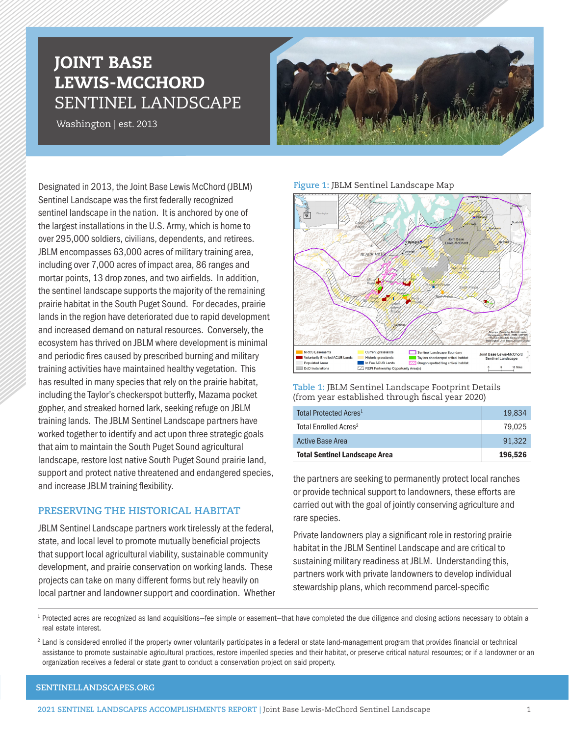# JOINT BASE LEWIS-MCCHORD SENTINEL LANDSCAPE

Washington | est. 2013



Designated in 2013, the Joint Base Lewis McChord (JBLM) Sentinel Landscape was the first federally recognized sentinel landscape in the nation. It is anchored by one of the largest installations in the U.S. Army, which is home to over 295,000 soldiers, civilians, dependents, and retirees. JBLM encompasses 63,000 acres of military training area, including over 7,000 acres of impact area, 86 ranges and mortar points, 13 drop zones, and two airfields. In addition, the sentinel landscape supports the majority of the remaining prairie habitat in the South Puget Sound. For decades, prairie lands in the region have deteriorated due to rapid development and increased demand on natural resources. Conversely, the ecosystem has thrived on JBLM where development is minimal and periodic fires caused by prescribed burning and military training activities have maintained healthy vegetation. This has resulted in many species that rely on the prairie habitat, including the Taylor's checkerspot butterfly, Mazama pocket gopher, and streaked horned lark, seeking refuge on JBLM training lands. The JBLM Sentinel Landscape partners have worked together to identify and act upon three strategic goals that aim to maintain the South Puget Sound agricultural landscape, restore lost native South Puget Sound prairie land, support and protect native threatened and endangered species, and increase JBLM training flexibility.

# **PRESERVING THE HISTORICAL HABITAT**

JBLM Sentinel Landscape partners work tirelessly at the federal, state, and local level to promote mutually beneficial projects that support local agricultural viability, sustainable community development, and prairie conservation on working lands. These projects can take on many different forms but rely heavily on local partner and landowner support and coordination. Whether

#### **Figure 1:** JBLM Sentinel Landscape Map



**Table 1:** JBLM Sentinel Landscape Footprint Details (from year established through fiscal year 2020)

| <b>Total Sentinel Landscape Area</b> | 196.526 |
|--------------------------------------|---------|
| <b>Active Base Area</b>              | 91.322  |
| Total Enrolled Acres <sup>2</sup>    | 79.025  |
| Total Protected Acres <sup>1</sup>   | 19,834  |

the partners are seeking to permanently protect local ranches or provide technical support to landowners, these efforts are carried out with the goal of jointly conserving agriculture and rare species.

Private landowners play a significant role in restoring prairie habitat in the JBLM Sentinel Landscape and are critical to sustaining military readiness at JBLM. Understanding this, partners work with private landowners to develop individual stewardship plans, which recommend parcel-specific

<sup>1</sup> Protected acres are recognized as land acquisitions–fee simple or easement–that have completed the due diligence and closing actions necessary to obtain a real estate interest.

<sup>2</sup> Land is considered enrolled if the property owner voluntarily participates in a federal or state land-management program that provides financial or technical assistance to promote sustainable agricultural practices, restore imperiled species and their habitat, or preserve critical natural resources; or if a landowner or an organization receives a federal or state grant to conduct a conservation project on said property.